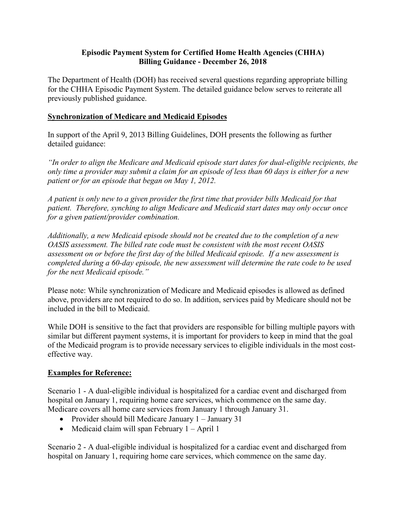## **Billing Guidance - December 26, 2018 Episodic Payment System for Certified Home Health Agencies (CHHA)**

The Department of Health (DOH) has received several questions regarding appropriate billing for the CHHA Episodic Payment System. The detailed guidance below serves to reiterate all previously published guidance.

## **Synchronization of Medicare and Medicaid Episodes**

 In support of the April 9, 2013 Billing Guidelines, DOH presents the following as further detailed guidance:

*"In order to align the Medicare and Medicaid episode start dates for dual-eligible recipients, the only time a provider may submit a claim for an episode of less than 60 days is either for a new patient or for an episode that began on May 1, 2012.* 

*A patient is only new to a given provider the first time that provider bills Medicaid for that patient. Therefore, synching to align Medicare and Medicaid start dates may only occur once for a given patient/provider combination.* 

*Additionally, a new Medicaid episode should not be created due to the completion of a new OASIS assessment. The billed rate code must be consistent with the most recent OASIS assessment on or before the first day of the billed Medicaid episode. If a new assessment is completed during a 60-day episode, the new assessment will determine the rate code to be used for the next Medicaid episode."* 

 Please note: While synchronization of Medicare and Medicaid episodes is allowed as defined above, providers are not required to do so. In addition, services paid by Medicare should not be included in the bill to Medicaid.

 While DOH is sensitive to the fact that providers are responsible for billing multiple payors with similar but different payment systems, it is important for providers to keep in mind that the goal of the Medicaid program is to provide necessary services to eligible individuals in the most costeffective way.

## **Examples for Reference:**

Scenario 1 - A dual-eligible individual is hospitalized for a cardiac event and discharged from hospital on January 1, requiring home care services, which commence on the same day. Medicare covers all home care services from January 1 through January 31.

- Provider should bill Medicare January 1 January 31
- Medicaid claim will span February 1 April 1

 hospital on January 1, requiring home care services, which commence on the same day. Scenario 2 - A dual-eligible individual is hospitalized for a cardiac event and discharged from